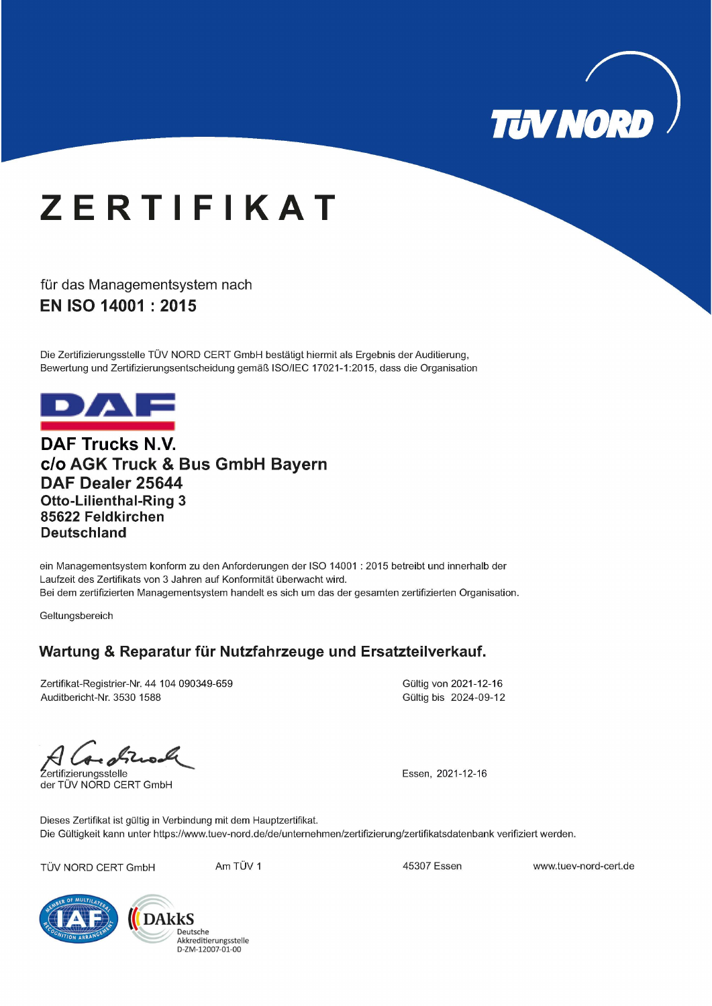

## **ZERTIFIKAT**

für das Managementsystem nach EN ISO 14001 : 2015

Die Zertifizierungsstelle TÜV NORD CERT GmbH bestätigt hiermit als Ergebnis der Auditierung, Bewertung und Zertifizierungsentscheidung gemäß ISO/IEC 17021-1:2015, dass die Organisation



**DAF Trucks N.V.** c/o AGK Truck & Bus GmbH Bayern DAF Dealer 25644 **Otto-Lilienthal-Ring 3** 85622 Feldkirchen **Deutschland** 

ein Managementsystem konform zu den Anforderungen der ISO 14001 : 2015 betreibt und innerhalb der Laufzeit des Zertifikats von 3 Jahren auf Konformität überwacht wird. Bei dem zertifizierten Managementsystem handelt es sich um das der gesamten zertifizierten Organisation.

Geltungsbereich

### Wartung & Reparatur für Nutzfahrzeuge und Ersatzteilverkauf.

Zertifikat-Registrier-Nr. 44 104 090349-659 Auditbericht-Nr. 3530 1588

Gültig von 2021-12-16 Gültig bis 2024-09-12

Zertifizierungsstelle

der TÜV NORD CERT GmbH

Essen, 2021-12-16

Dieses Zertifikat ist gültig in Verbindung mit dem Hauptzertifikat. Die Gültigkeit kann unter https://www.tuev-nord.de/de/unternehmen/zertifizierung/zertifikatsdatenbank verifiziert werden.

TÜV NORD CERT GmbH

Am TÜV 1

45307 Essen

www.tuev-nord-cert.de



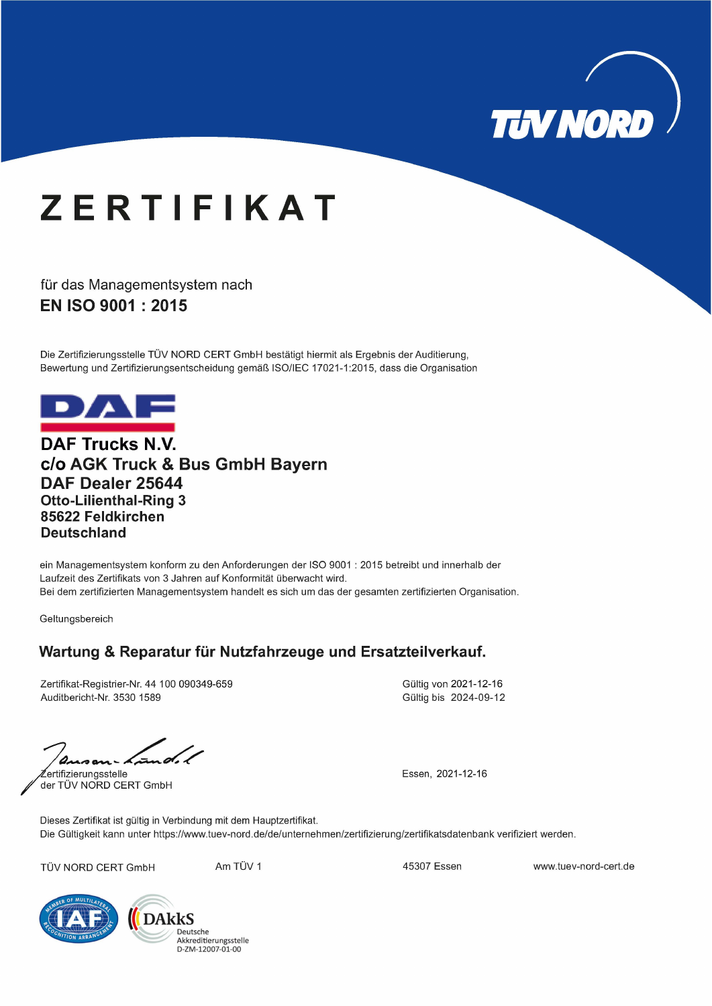

## **ZERTIFIKAT**

für das Managementsystem nach EN ISO 9001: 2015

Die Zertifizierungsstelle TÜV NORD CERT GmbH bestätigt hiermit als Ergebnis der Auditierung, Bewertung und Zertifizierungsentscheidung gemäß ISO/IEC 17021-1:2015, dass die Organisation



**DAF Trucks N.V.** c/o AGK Truck & Bus GmbH Bayern DAF Dealer 25644 **Otto-Lilienthal-Ring 3** 85622 Feldkirchen **Deutschland** 

ein Managementsystem konform zu den Anforderungen der ISO 9001 : 2015 betreibt und innerhalb der Laufzeit des Zertifikats von 3 Jahren auf Konformität überwacht wird. Bei dem zertifizierten Managementsystem handelt es sich um das der gesamten zertifizierten Organisation.

Geltungsbereich

### Wartung & Reparatur für Nutzfahrzeuge und Ersatzteilverkauf.

Zertifikat-Registrier-Nr. 44 100 090349-659 Auditbericht-Nr. 3530 1589

Gültig von 2021-12-16 Gültig bis 2024-09-12

ertifizierungsstelle

der TÜV NORD CERT GmbH

Essen, 2021-12-16

Dieses Zertifikat ist gültig in Verbindung mit dem Hauptzertifikat. Die Gültigkeit kann unter https://www.tuev-nord.de/de/unternehmen/zertifizierung/zertifikatsdatenbank verifiziert werden.

TÜV NORD CERT GmbH

Am TÜV 1

45307 Essen

www.tuev-nord-cert.de



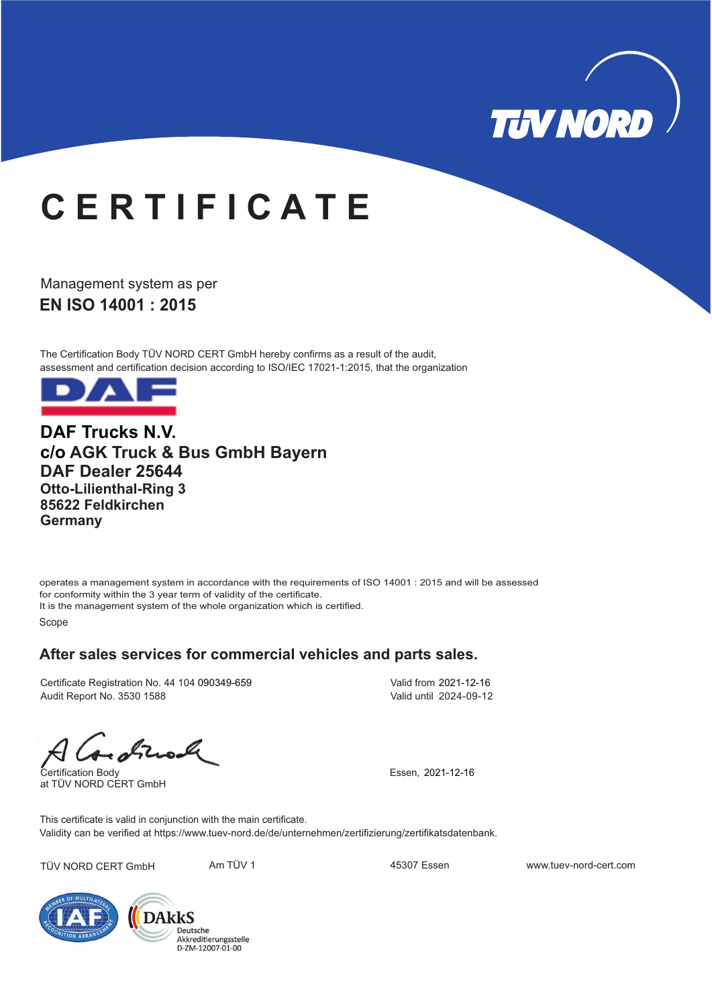

# **C E R T I F I C A T E**

**EN ISO 14001: 2015** Management system as per

The Certification Body TÜV NORD CERT GmbH hereby confirms as a result of the audit, assessment and certification decision according to ISO/IEC 17021-1:2015, that the organization



**DAF Trucks N.V. c/o AGK Truck & Bus GmbH Bayern DAF Dealer 25644 Otto-Lilienthal-Ring 3 85622 Feldkirchen Germany**

operates a management system in accordance with the requirements of ISO 14001 : 2015 and will be assessed for conformity within the 3 year term of validity of the certificate. It is the management system of the whole organization which is certified. Scope

#### **After sales services for commercial vehicles and parts sales.**

Certificate Registration No. 44 104 090349-659 Audit Report No. 3530 1588

Valid from 2021-12-16 Valid until 2024-09-12

Certification Body at TÜV NORD CERT GmbH

Essen, 2021-12-16

Validity can be verified at https://www.tuev-nord.de/de/unternehmen/zertifizierung/zertifikatsdatenbank. This certificate is valid in conjunction with the main certificate.

TÜV NORD CERT GmbH Am TÜV 1 45307 Essen www.tuev-nord-cert.com